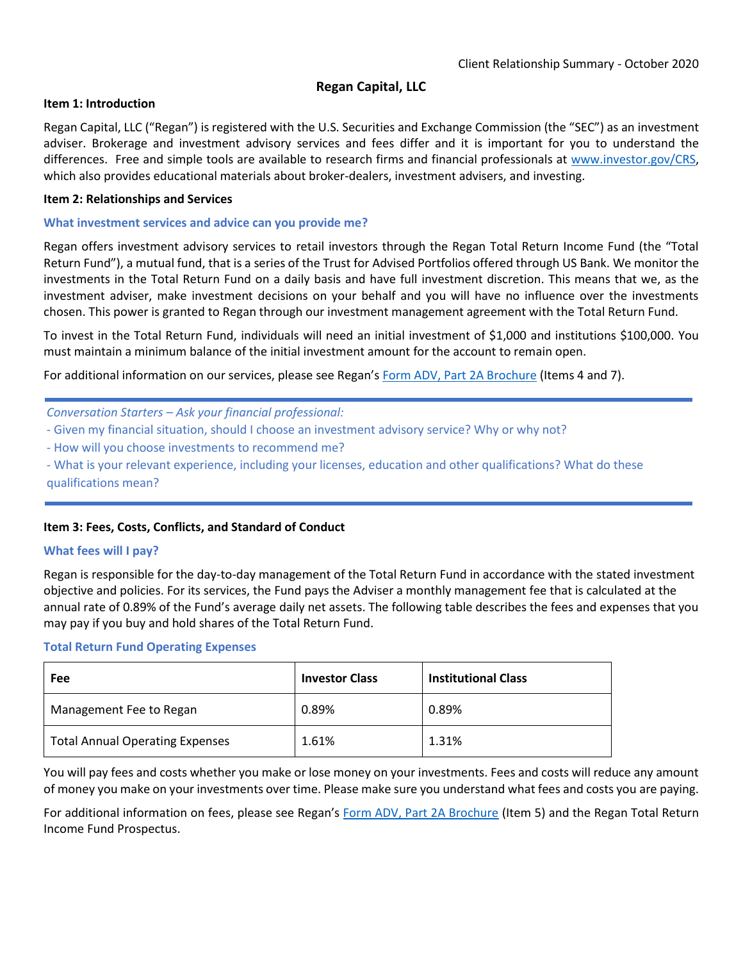# **Regan Capital, LLC**

# **Item 1: Introduction**

Regan Capital, LLC ("Regan") is registered with the U.S. Securities and Exchange Commission (the "SEC") as an investment adviser. Brokerage and investment advisory services and fees differ and it is important for you to understand the differences. Free and simple tools are available to research firms and financial professionals at [www.investor.gov/CRS,](http://www.investor.gov/CRS) which also provides educational materials about broker-dealers, investment advisers, and investing.

### **Item 2: Relationships and Services**

#### **What investment services and advice can you provide me?**

Regan offers investment advisory services to retail investors through the Regan Total Return Income Fund (the "Total Return Fund"), a mutual fund, that is a series of the Trust for Advised Portfolios offered through US Bank. We monitor the investments in the Total Return Fund on a daily basis and have full investment discretion. This means that we, as the investment adviser, make investment decisions on your behalf and you will have no influence over the investments chosen. This power is granted to Regan through our investment management agreement with the Total Return Fund.

To invest in the Total Return Fund, individuals will need an initial investment of \$1,000 and institutions \$100,000. You must maintain a minimum balance of the initial investment amount for the account to remain open.

For additional information on our services, please see Regan's [Form ADV, Part 2A Brochure](https://files.adviserinfo.sec.gov/IAPD/Content/Common/crd_iapd_Brochure.aspx?BRCHR_VRSN_ID=635583) (Items 4 and 7).

*Conversation Starters – Ask your financial professional:*

- Given my financial situation, should I choose an investment advisory service? Why or why not?
- How will you choose investments to recommend me?
- What is your relevant experience, including your licenses, education and other qualifications? What do these qualifications mean?

# **Item 3: Fees, Costs, Conflicts, and Standard of Conduct**

#### **What fees will I pay?**

Regan is responsible for the day-to-day management of the Total Return Fund in accordance with the stated investment objective and policies. For its services, the Fund pays the Adviser a monthly management fee that is calculated at the annual rate of 0.89% of the Fund's average daily net assets. The following table describes the fees and expenses that you may pay if you buy and hold shares of the Total Return Fund.

#### **Total Return Fund Operating Expenses**

| Fee                                    | <b>Investor Class</b> | <b>Institutional Class</b> |
|----------------------------------------|-----------------------|----------------------------|
| Management Fee to Regan                | 0.89%                 | 0.89%                      |
| <b>Total Annual Operating Expenses</b> | 1.61%                 | 1.31%                      |

You will pay fees and costs whether you make or lose money on your investments. Fees and costs will reduce any amount of money you make on your investments over time. Please make sure you understand what fees and costs you are paying.

For additional information on fees, please see Regan's [Form ADV, Part 2A Brochure](https://files.adviserinfo.sec.gov/IAPD/Content/Common/crd_iapd_Brochure.aspx?BRCHR_VRSN_ID=635583) (Item 5) and the Regan Total Return Income Fund Prospectus.